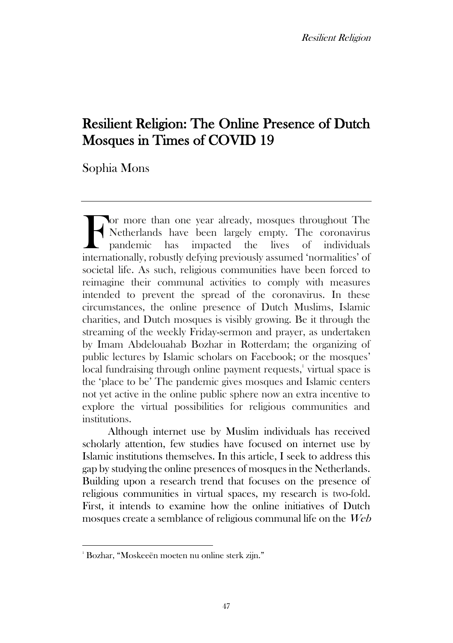# Resilient Religion: The Online Presence of Dutch Mosques in Times of COVID 19

Sophia Mons

or more than one year already, mosques throughout The Netherlands have been largely empty. The coronavirus pandemic has impacted the lives of individuals I also more than one year already, mosques throughout The Netherlands have been largely empty. The coronavirus pandemic has impacted the lives of individuals internationally, robustly defying previously assumed 'normalitie societal life. As such, religious communities have been forced to reimagine their communal activities to comply with measures intended to prevent the spread of the coronavirus. In these circumstances, the online presence of Dutch Muslims, Islamic charities, and Dutch mosques is visibly growing. Be it through the streaming of the weekly Friday-sermon and prayer, as undertaken by Imam Abdelouahab Bozhar in Rotterdam; the organizing of public lectures by Islamic scholars on Facebook; or the mosques' local fundraising through online payment requests,<sup>1</sup> virtual space is the 'place to be' The pandemic gives mosques and Islamic centers not yet active in the online public sphere now an extra incentive to explore the virtual possibilities for religious communities and institutions.

Although internet use by Muslim individuals has received scholarly attention, few studies have focused on internet use by Islamic institutions themselves. In this article, I seek to address this gap by studying the online presences of mosques in the Netherlands. Building upon a research trend that focuses on the presence of religious communities in virtual spaces, my research is two-fold. First, it intends to examine how the online initiatives of Dutch mosques create a semblance of religious communal life on the Web

<sup>1</sup> Bozhar, "Moskeeën moeten nu online sterk zijn."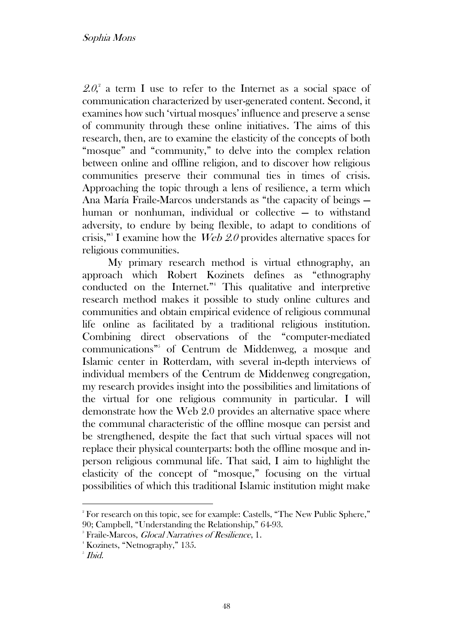$2.\theta$ , a term I use to refer to the Internet as a social space of communication characterized by user-generated content. Second, it examines how such 'virtual mosques' influence and preserve a sense of community through these online initiatives. The aims of this research, then, are to examine the elasticity of the concepts of both "mosque" and "community," to delve into the complex relation between online and offline religion, and to discover how religious communities preserve their communal ties in times of crisis. Approaching the topic through a lens of resilience, a term which Ana María Fraile-Marcos understands as "the capacity of beings human or nonhuman, individual or collective – to withstand adversity, to endure by being flexible, to adapt to conditions of crisis,"<sup>3</sup> I examine how the  $Web 2.0$  provides alternative spaces for religious communities.

My primary research method is virtual ethnography, an approach which Robert Kozinets defines as "ethnography conducted on the Internet." <sup>4</sup> This qualitative and interpretive research method makes it possible to study online cultures and communities and obtain empirical evidence of religious communal life online as facilitated by a traditional religious institution. Combining direct observations of the "computer-mediated communications" 5 of Centrum de Middenweg, a mosque and Islamic center in Rotterdam, with several in-depth interviews of individual members of the Centrum de Middenweg congregation, my research provides insight into the possibilities and limitations of the virtual for one religious community in particular. I will demonstrate how the Web 2.0 provides an alternative space where the communal characteristic of the offline mosque can persist and be strengthened, despite the fact that such virtual spaces will not replace their physical counterparts: both the offline mosque and inperson religious communal life. That said, I aim to highlight the elasticity of the concept of "mosque," focusing on the virtual possibilities of which this traditional Islamic institution might make

<sup>&</sup>lt;sup>2</sup> For research on this topic, see for example: Castells, "The New Public Sphere," 90; Campbell, "Understanding the Relationship," 64-93.

<sup>&</sup>lt;sup>3</sup> Fraile-Marcos, *Glocal Narratives of Resilience*, 1.

<sup>4</sup> Kozinets, "Netnography," 135.

 $^{\circ}$  Ibid.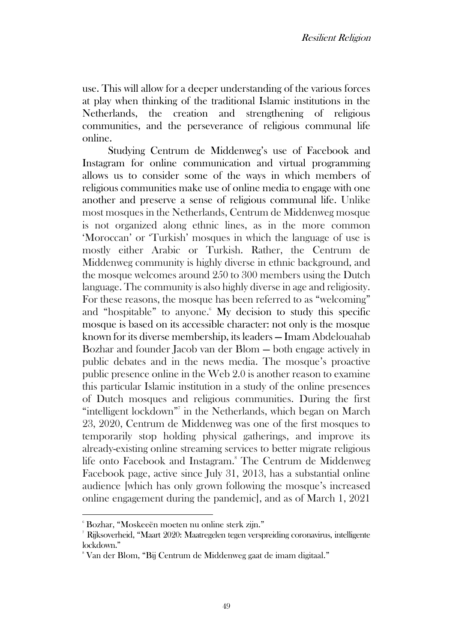use. This will allow for a deeper understanding of the various forces at play when thinking of the traditional Islamic institutions in the Netherlands, the creation and strengthening of religious communities, and the perseverance of religious communal life online.

Studying Centrum de Middenweg's use of Facebook and Instagram for online communication and virtual programming allows us to consider some of the ways in which members of religious communities make use of online media to engage with one another and preserve a sense of religious communal life. Unlike most mosques in the Netherlands, Centrum de Middenweg mosque is not organized along ethnic lines, as in the more common 'Moroccan' or 'Turkish' mosques in which the language of use is mostly either Arabic or Turkish. Rather, the Centrum de Middenweg community is highly diverse in ethnic background, and the mosque welcomes around 250 to 300 members using the Dutch language. The community is also highly diverse in age and religiosity. For these reasons, the mosque has been referred to as "welcoming" and "hospitable" to anyone. $6\,$  My decision to study this specific mosque is based on its accessible character: not only is the mosque known for its diverse membership, its leaders — Imam Abdelouahab Bozhar and founder Jacob van der Blom — both engage actively in public debates and in the news media. The mosque's proactive public presence online in the Web 2.0 is another reason to examine this particular Islamic institution in a study of the online presences of Dutch mosques and religious communities. During the first "intelligent lockdown" in the Netherlands, which began on March 23, 2020, Centrum de Middenweg was one of the first mosques to temporarily stop holding physical gatherings, and improve its already-existing online streaming services to better migrate religious life onto Facebook and Instagram.<sup>8</sup> The Centrum de Middenweg Facebook page, active since July 31, 2013, has a substantial online audience [which has only grown following the mosque's increased online engagement during the pandemic], and as of March 1, 2021

<sup>6</sup> Bozhar, "Moskeeën moeten nu online sterk zijn."

<sup>7</sup> Rijksoverheid, "Maart 2020: Maatregelen tegen verspreiding coronavirus, intelligente lockdown."

<sup>8</sup> Van der Blom, "Bij Centrum de Middenweg gaat de imam digitaal."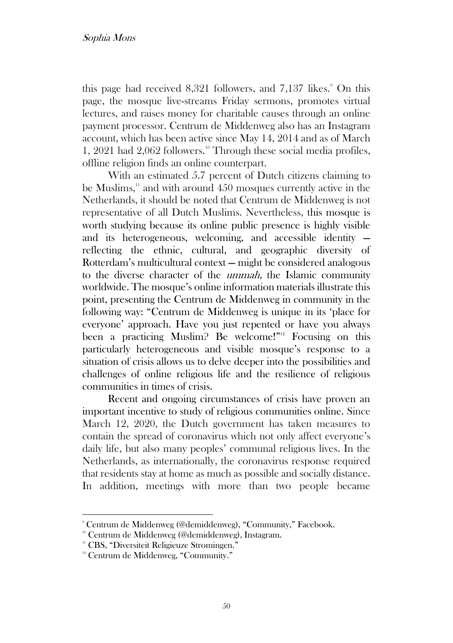this page had received  $8,321$  followers, and  $7,137$  likes.<sup>9</sup> On this page, the mosque live-streams Friday sermons, promotes virtual lectures, and raises money for charitable causes through an online payment processor. Centrum de Middenweg also has an Instagram account, which has been active since May 14, 2014 and as of March 1, 2021 had 2,062 followers.<sup>10</sup> Through these social media profiles, offline religion finds an online counterpart.

With an estimated 5.7 percent of Dutch citizens claiming to be Muslims, $\frac{1}{1}$  and with around 450 mosques currently active in the Netherlands, it should be noted that Centrum de Middenweg is not representative of all Dutch Muslims. Nevertheless, this mosque is worth studying because its online public presence is highly visible and its heterogeneous, welcoming, and accessible identity reflecting the ethnic, cultural, and geographic diversity of Rotterdam's multicultural context — might be considered analogous to the diverse character of the ummah, the Islamic community worldwide. The mosque's online information materials illustrate this point, presenting the Centrum de Middenweg in community in the following way: "Centrum de Middenweg is unique in its 'place for everyone' approach. Have you just repented or have you always been a practicing Muslim? Be welcome!"<sup>12</sup> Focusing on this particularly heterogeneous and visible mosque's response to a situation of crisis allows us to delve deeper into the possibilities and challenges of online religious life and the resilience of religious communities in times of crisis.

Recent and ongoing circumstances of crisis have proven an important incentive to study of religious communities online. Since March 12, 2020, the Dutch government has taken measures to contain the spread of coronavirus which not only affect everyone's daily life, but also many peoples' communal religious lives. In the Netherlands, as internationally, the coronavirus response required that residents stay at home as much as possible and socially distance. In addition, meetings with more than two people became

<sup>9</sup> Centrum de Middenweg (@demiddenweg), "Community," Facebook.

<sup>&</sup>lt;sup>10</sup> Centrum de Middenweg (@demiddenweg), Instagram.

<sup>&</sup>lt;sup>11</sup> CBS, "Diversiteit Religieuze Stromingen."

<sup>&</sup>lt;sup>12</sup> Centrum de Middenweg, "Community."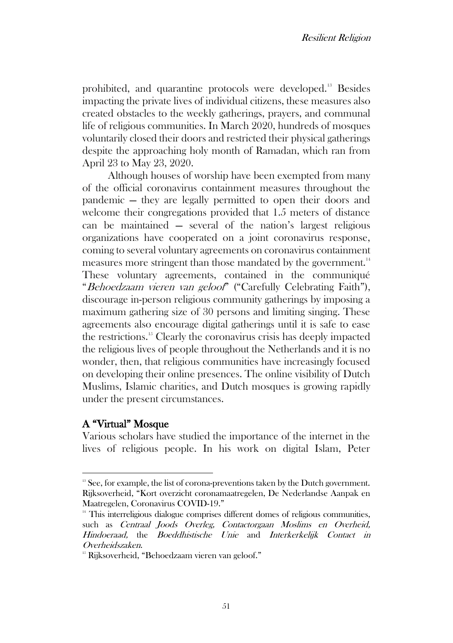prohibited, and quarantine protocols were developed.<sup>13</sup> Besides impacting the private lives of individual citizens, these measures also created obstacles to the weekly gatherings, prayers, and communal life of religious communities. In March 2020, hundreds of mosques voluntarily closed their doors and restricted their physical gatherings despite the approaching holy month of Ramadan, which ran from April 23 to May 23, 2020.

Although houses of worship have been exempted from many of the official coronavirus containment measures throughout the pandemic — they are legally permitted to open their doors and welcome their congregations provided that 1.5 meters of distance can be maintained — several of the nation's largest religious organizations have cooperated on a joint coronavirus response, coming to several voluntary agreements on coronavirus containment measures more stringent than those mandated by the government.<sup>14</sup> These voluntary agreements, contained in the communiqué "Behoedzaam vieren van geloof" ("Carefully Celebrating Faith"), discourage in-person religious community gatherings by imposing a maximum gathering size of 30 persons and limiting singing. These agreements also encourage digital gatherings until it is safe to ease the restrictions.<sup>15</sup> Clearly the coronavirus crisis has deeply impacted the religious lives of people throughout the Netherlands and it is no wonder, then, that religious communities have increasingly focused on developing their online presences. The online visibility of Dutch Muslims, Islamic charities, and Dutch mosques is growing rapidly under the present circumstances.

# A "Virtual" Mosque

Various scholars have studied the importance of the internet in the lives of religious people. In his work on digital Islam, Peter

 $13$  See, for example, the list of corona-preventions taken by the Dutch government. Rijksoverheid, "Kort overzicht coronamaatregelen, De Nederlandse Aanpak en Maatregelen, Coronavirus COVID-19."

<sup>&</sup>lt;sup>14</sup> This interreligious dialogue comprises different domes of religious communities, such as Centraal Joods Overleg, Contactorgaan Moslims en Overheid, Hindoeraad, the Boeddhistische Unie and Interkerkelijk Contact in Overheidszaken.

<sup>&</sup>lt;sup>15</sup> Rijksoverheid, "Behoedzaam vieren van geloof."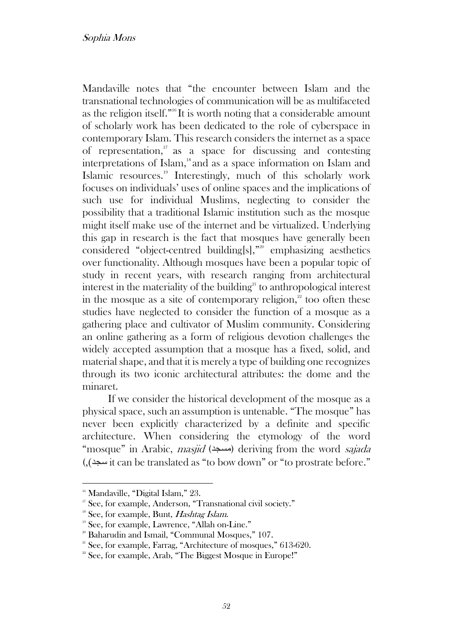#### Sophia Mons

Mandaville notes that "the encounter between Islam and the transnational technologies of communication will be as multifaceted as the religion itself.<sup>"
If</sup> It is worth noting that a considerable amount of scholarly work has been dedicated to the role of cyberspace in contemporary Islam. This research considers the internet as a space of representation, $\frac{17}{12}$  as a space for discussing and contesting interpretations of Islam,<sup>18</sup> and as a space information on Islam and Islamic resources.<sup>19</sup> Interestingly, much of this scholarly work focuses on individuals' uses of online spaces and the implications of such use for individual Muslims, neglecting to consider the possibility that a traditional Islamic institution such as the mosque might itself make use of the internet and be virtualized. Underlying this gap in research is the fact that mosques have generally been considered "object-centred building[s]," <sup>20</sup> emphasizing aesthetics over functionality. Although mosques have been a popular topic of study in recent years, with research ranging from architectural interest in the materiality of the building<sup>21</sup> to anthropological interest in the mosque as a site of contemporary religion, $\frac{2}{x}$  too often these studies have neglected to consider the function of a mosque as a gathering place and cultivator of Muslim community. Considering an online gathering as a form of religious devotion challenges the widely accepted assumption that a mosque has a fixed, solid, and material shape, and that it is merely a type of building one recognizes through its two iconic architectural attributes: the dome and the minaret.

If we consider the historical development of the mosque as a physical space, such an assumption is untenable. "The mosque" has never been explicitly characterized by a definite and specific architecture. When considering the etymology of the word "mosque" in Arabic, *masjid* (مسجد) deriving from the word sajada (,)سجد it can be translated as "to bow down" or "to prostrate before."

<sup>&</sup>lt;sup>16</sup> Mandaville, "Digital Islam," 23.

<sup>&</sup>lt;sup>17</sup> See, for example, Anderson, "Transnational civil society."

 $18$  See, for example, Bunt, *Hashtag Islam*.

<sup>&</sup>lt;sup>19</sup> See, for example, Lawrence, "Allah on-Line."

<sup>&</sup>lt;sup>20</sup> Baharudin and Ismail, "Communal Mosques," 107.

<sup>&</sup>lt;sup>21</sup> See, for example, Farrag, "Architecture of mosques," 613-620.

<sup>&</sup>lt;sup>22</sup> See, for example, Arab, "The Biggest Mosque in Europe!"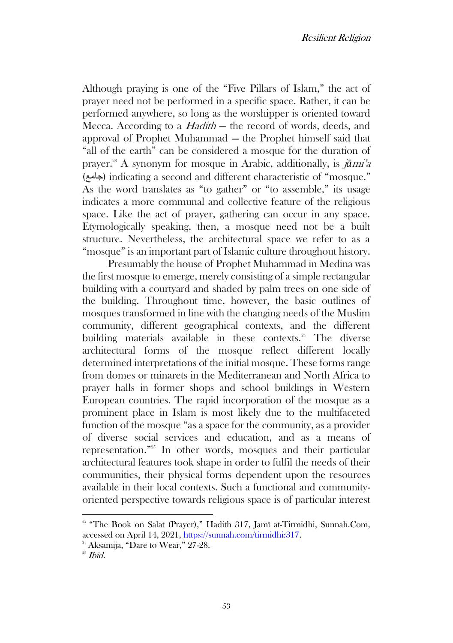Although praying is one of the "Five Pillars of Islam," the act of prayer need not be performed in a specific space. Rather, it can be performed anywhere, so long as the worshipper is oriented toward Mecca. According to a *Hadith* – the record of words, deeds, and approval of Prophet Muhammad — the Prophet himself said that "all of the earth" can be considered a mosque for the duration of prayer. <sup>23</sup> A synonym for mosque in Arabic, additionally, is j*ā*mi'<sup>a</sup> (جامع (indicating a second and different characteristic of "mosque." As the word translates as "to gather" or "to assemble," its usage indicates a more communal and collective feature of the religious space. Like the act of prayer, gathering can occur in any space. Etymologically speaking, then, a mosque need not be a built structure. Nevertheless, the architectural space we refer to as a "mosque" is an important part of Islamic culture throughout history.

Presumably the house of Prophet Muhammad in Medina was the first mosque to emerge, merely consisting of a simple rectangular building with a courtyard and shaded by palm trees on one side of the building. Throughout time, however, the basic outlines of mosques transformed in line with the changing needs of the Muslim community, different geographical contexts, and the different building materials available in these contexts.<sup>24</sup> The diverse architectural forms of the mosque reflect different locally determined interpretations of the initial mosque. These forms range from domes or minarets in the Mediterranean and North Africa to prayer halls in former shops and school buildings in Western European countries. The rapid incorporation of the mosque as a prominent place in Islam is most likely due to the multifaceted function of the mosque "as a space for the community, as a provider of diverse social services and education, and as a means of representation." <sup>25</sup> In other words, mosques and their particular architectural features took shape in order to fulfil the needs of their communities, their physical forms dependent upon the resources available in their local contexts. Such a functional and communityoriented perspective towards religious space is of particular interest

<sup>&</sup>lt;sup>23</sup> "The Book on Salat (Prayer)," Hadith 317, Jamî at-Tirmidhi, Sunnah.Com, accessed on April 14, 2021, https://sunnah.com/tirmidhi:317.

<sup>&</sup>lt;sup>24</sup> Aksamija, "Dare to Wear," 27-28.

 $25$  *Ibid.*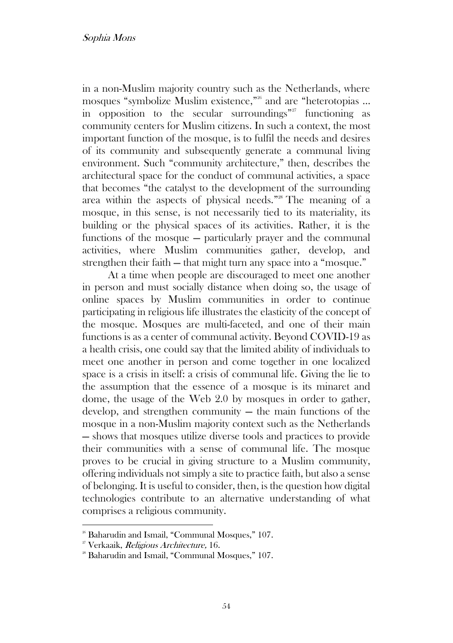in a non-Muslim majority country such as the Netherlands, where mosques "symbolize Muslim existence," <sup>26</sup> and are "heterotopias ... in opposition to the secular surroundings"<sup>27</sup> functioning as community centers for Muslim citizens. In such a context, the most important function of the mosque, is to fulfil the needs and desires of its community and subsequently generate a communal living environment. Such "community architecture," then, describes the architectural space for the conduct of communal activities, a space that becomes "the catalyst to the development of the surrounding area within the aspects of physical needs." <sup>28</sup> The meaning of a mosque, in this sense, is not necessarily tied to its materiality, its building or the physical spaces of its activities. Rather, it is the functions of the mosque — particularly prayer and the communal activities, where Muslim communities gather, develop, and strengthen their faith — that might turn any space into a "mosque."

At a time when people are discouraged to meet one another in person and must socially distance when doing so, the usage of online spaces by Muslim communities in order to continue participating in religious life illustrates the elasticity of the concept of the mosque. Mosques are multi-faceted, and one of their main functions is as a center of communal activity. Beyond COVID-19 as a health crisis, one could say that the limited ability of individuals to meet one another in person and come together in one localized space is a crisis in itself: a crisis of communal life. Giving the lie to the assumption that the essence of a mosque is its minaret and dome, the usage of the Web 2.0 by mosques in order to gather, develop, and strengthen community — the main functions of the mosque in a non-Muslim majority context such as the Netherlands — shows that mosques utilize diverse tools and practices to provide their communities with a sense of communal life. The mosque proves to be crucial in giving structure to a Muslim community, offering individuals not simply a site to practice faith, but also a sense of belonging. It is useful to consider, then, is the question how digital technologies contribute to an alternative understanding of what comprises a religious community.

<sup>&</sup>lt;sup>26</sup> Baharudin and Ismail, "Communal Mosques," 107.

<sup>&</sup>lt;sup>27</sup> Verkaaik, Religious Architecture, 16.

<sup>&</sup>lt;sup>28</sup> Baharudin and Ismail, "Communal Mosques," 107.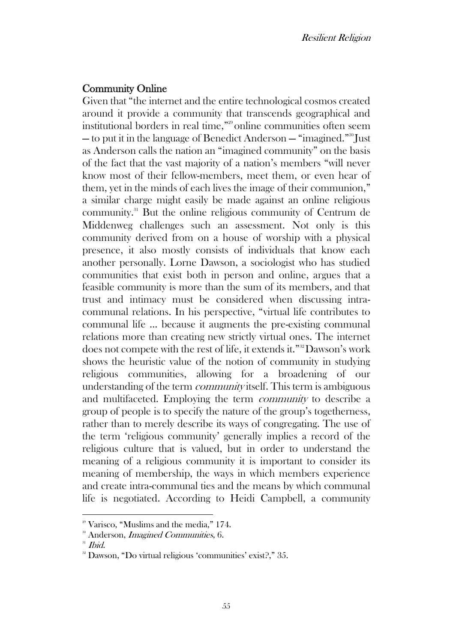### Community Online

Given that "the internet and the entire technological cosmos created around it provide a community that transcends geographical and institutional borders in real time," <sup>29</sup>online communities often seem — to put it in the language of Benedict Anderson — "imagined." <sup>30</sup> Just as Anderson calls the nation an "imagined community" on the basis of the fact that the vast majority of a nation's members "will never know most of their fellow-members, meet them, or even hear of them, yet in the minds of each lives the image of their communion," a similar charge might easily be made against an online religious community.<sup>31</sup> But the online religious community of Centrum de Middenweg challenges such an assessment. Not only is this community derived from on a house of worship with a physical presence, it also mostly consists of individuals that know each another personally. Lorne Dawson, a sociologist who has studied communities that exist both in person and online, argues that a feasible community is more than the sum of its members, and that trust and intimacy must be considered when discussing intracommunal relations. In his perspective, "virtual life contributes to communal life ... because it augments the pre-existing communal relations more than creating new strictly virtual ones. The internet does not compete with the rest of life, it extends it." <sup>32</sup>Dawson's work shows the heuristic value of the notion of community in studying religious communities, allowing for a broadening of our understanding of the term *community* itself. This term is ambiguous and multifaceted. Employing the term community to describe a group of people is to specify the nature of the group's togetherness, rather than to merely describe its ways of congregating. The use of the term 'religious community' generally implies a record of the religious culture that is valued, but in order to understand the meaning of a religious community it is important to consider its meaning of membership, the ways in which members experience and create intra-communal ties and the means by which communal life is negotiated. According to Heidi Campbell, a community

 $2^{\circ}$  Varisco, "Muslims and the media," 174.

<sup>&</sup>lt;sup>30</sup> Anderson, *Imagined Communities*, 6.

<sup>&</sup>lt;sup>31</sup> Ibid.

<sup>32</sup> Dawson, "Do virtual religious 'communities' exist?," 35.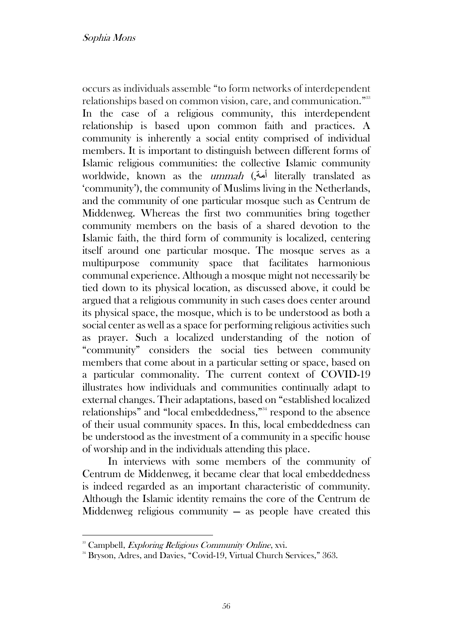occurs as individuals assemble "to form networks of interdependent relationships based on common vision, care, and communication." 33 In the case of a religious community, this interdependent relationship is based upon common faith and practices. A community is inherently a social entity comprised of individual members. It is important to distinguish between different forms of Islamic religious communities: the collective Islamic community worldwide, known as the *ummah* (أمة) literally translated as 'community'), the community of Muslims living in the Netherlands, and the community of one particular mosque such as Centrum de Middenweg. Whereas the first two communities bring together community members on the basis of a shared devotion to the Islamic faith, the third form of community is localized, centering itself around one particular mosque. The mosque serves as a multipurpose community space that facilitates harmonious communal experience. Although a mosque might not necessarily be tied down to its physical location, as discussed above, it could be argued that a religious community in such cases does center around its physical space, the mosque, which is to be understood as both a social center as well as a space for performing religious activities such as prayer. Such a localized understanding of the notion of "community" considers the social ties between community members that come about in a particular setting or space, based on a particular commonality. The current context of COVID-19 illustrates how individuals and communities continually adapt to external changes. Their adaptations, based on "established localized relationships" and "local embeddedness," <sup>34</sup> respond to the absence of their usual community spaces. In this, local embeddedness can be understood as the investment of a community in a specific house of worship and in the individuals attending this place.

In interviews with some members of the community of Centrum de Middenweg, it became clear that local embeddedness is indeed regarded as an important characteristic of community. Although the Islamic identity remains the core of the Centrum de Middenweg religious community  $-$  as people have created this

<sup>&</sup>lt;sup>33</sup> Campbell, *Exploring Religious Community Online*, xvi.

<sup>&</sup>lt;sup>34</sup> Bryson, Adres, and Davies, "Covid-19, Virtual Church Services," 363.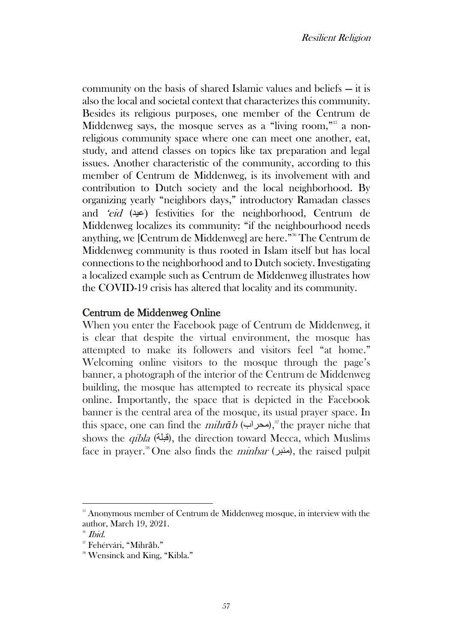community on the basis of shared Islamic values and beliefs — it is also the local and societal context that characterizes this community. Besides its religious purposes, one member of the Centrum de Middenweg says, the mosque serves as a "living room,"<sup>35</sup> a nonreligious community space where one can meet one another, eat, study, and attend classes on topics like tax preparation and legal issues. Another characteristic of the community, according to this member of Centrum de Middenweg, is its involvement with and contribution to Dutch society and the local neighborhood. By organizing yearly "neighbors days," introductory Ramadan classes and 'eid (عيد) festivities for the neighborhood, Centrum de Middenweg localizes its community: "if the neighbourhood needs anything, we [Centrum de Middenweg] are here." <sup>36</sup> The Centrum de Middenweg community is thus rooted in Islam itself but has local connections to the neighborhood and to Dutch society. Investigating a localized example such as Centrum de Middenweg illustrates how the COVID-19 crisis has altered that locality and its community.

## Centrum de Middenweg Online

When you enter the Facebook page of Centrum de Middenweg, it is clear that despite the virtual environment, the mosque has attempted to make its followers and visitors feel "at home." Welcoming online visitors to the mosque through the page's banner, a photograph of the interior of the Centrum de Middenweg building, the mosque has attempted to recreate its physical space online. Importantly, the space that is depicted in the Facebook banner is the central area of the mosque, its usual prayer space. In this space, one can find the *mihrāb* (محراب),<sup>37</sup> the prayer niche that shows the *qibla* (قبلة), the direction toward Mecca, which Muslims face in prayer.<sup>38</sup> One also finds the *ninbar* (منبر), the raised pulpit

<sup>&</sup>lt;sup>35</sup> Anonymous member of Centrum de Middenweg mosque, in interview with the author, March 19, 2021.

<sup>&</sup>lt;sup>36</sup> Ibid.

<sup>37</sup> Fehérvári, "Mihrāb."

<sup>&</sup>lt;sup>38</sup> Wensinck and King, "Kibla."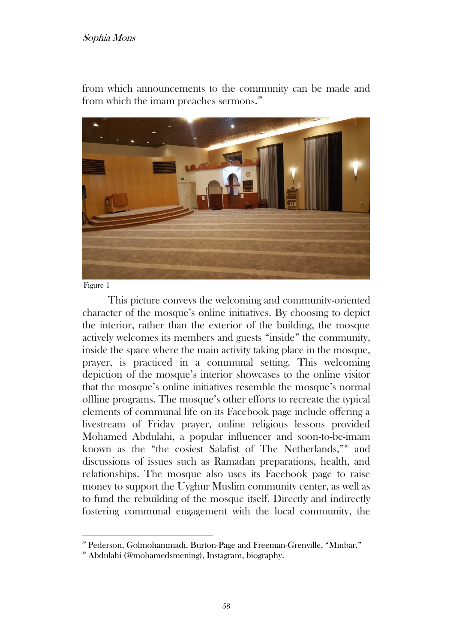#### Sophia Mons

from which announcements to the community can be made and from which the imam preaches sermons.<sup>39</sup>



Figure 1

This picture conveys the welcoming and community-oriented character of the mosque's online initiatives. By choosing to depict the interior, rather than the exterior of the building, the mosque actively welcomes its members and guests "inside" the community, inside the space where the main activity taking place in the mosque, prayer, is practiced in a communal setting. This welcoming depiction of the mosque's interior showcases to the online visitor that the mosque's online initiatives resemble the mosque's normal offline programs. The mosque's other efforts to recreate the typical elements of communal life on its Facebook page include offering a livestream of Friday prayer, online religious lessons provided Mohamed Abdulahi, a popular influencer and soon-to-be-imam known as the "the cosiest Salafist of The Netherlands,"<sup>60</sup> and discussions of issues such as Ramadan preparations, health, and relationships. The mosque also uses its Facebook page to raise money to support the Uyghur Muslim community center, as well as to fund the rebuilding of the mosque itself. Directly and indirectly fostering communal engagement with the local community, the

<sup>39</sup> Pederson, Golmohammadi, Burton-Page and Freeman-Grenville, "Minbar."

<sup>40</sup> Abdulahi (@mohamedsmening), Instagram, biography.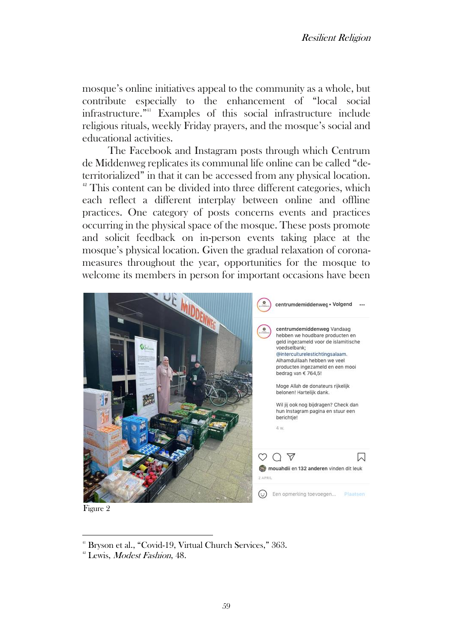mosque's online initiatives appeal to the community as a whole, but contribute especially to the enhancement of "local social infrastructure." <sup>41</sup> Examples of this social infrastructure include religious rituals, weekly Friday prayers, and the mosque's social and educational activities.

The Facebook and Instagram posts through which Centrum de Middenweg replicates its communal life online can be called "deterritorialized" in that it can be accessed from any physical location. <sup>42</sup> This content can be divided into three different categories, which each reflect a different interplay between online and offline practices. One category of posts concerns events and practices occurring in the physical space of the mosque. These posts promote and solicit feedback on in-person events taking place at the mosque's physical location. Given the gradual relaxation of coronameasures throughout the year, opportunities for the mosque to welcome its members in person for important occasions have been



Figure 2

<sup>&</sup>lt;sup>41</sup> Bryson et al., "Covid-19, Virtual Church Services," 363.

<sup>&</sup>lt;sup>42</sup> Lewis, Modest Fashion, 48.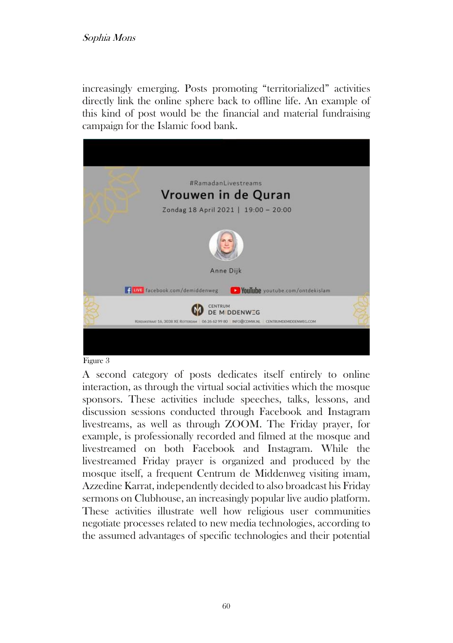### Sophia Mons

increasingly emerging. Posts promoting "territorialized" activities directly link the online sphere back to offline life. An example of this kind of post would be the financial and material fundraising campaign for the Islamic food bank.



#### Figure 3

A second category of posts dedicates itself entirely to online interaction, as through the virtual social activities which the mosque sponsors. These activities include speeches, talks, lessons, and discussion sessions conducted through Facebook and Instagram livestreams, as well as through ZOOM. The Friday prayer, for example, is professionally recorded and filmed at the mosque and livestreamed on both Facebook and Instagram. While the livestreamed Friday prayer is organized and produced by the mosque itself, a frequent Centrum de Middenweg visiting imam, Azzedine Karrat, independently decided to also broadcast his Friday sermons on Clubhouse, an increasingly popular live audio platform. These activities illustrate well how religious user communities negotiate processes related to new media technologies, according to the assumed advantages of specific technologies and their potential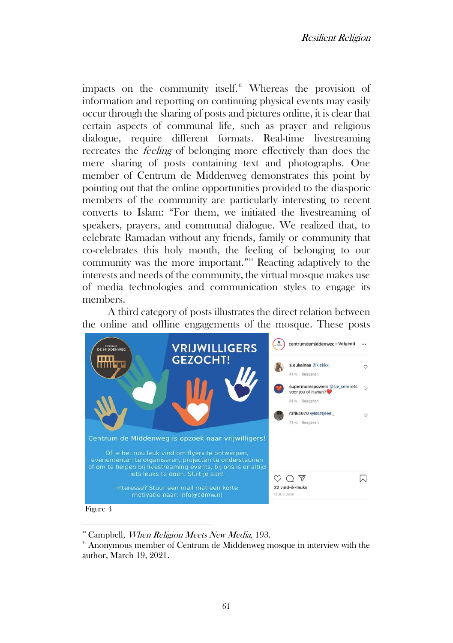impacts on the community itself.<sup>43</sup> Whereas the provision of information and reporting on continuing physical events may easily occur through the sharing of posts and pictures online, it is clear that certain aspects of communal life, such as prayer and religious dialogue, require different formats. Real-time livestreaming recreates the feeling of belonging more effectively than does the mere sharing of posts containing text and photographs. One member of Centrum de Middenweg demonstrates this point by pointing out that the online opportunities provided to the diasporic members of the community are particularly interesting to recent converts to Islam: "For them, we initiated the livestreaming of speakers, prayers, and communal dialogue. We realized that, to celebrate Ramadan without any friends, family or community that co-celebrates this holy month, the feeling of belonging to our community was the more important." <sup>44</sup> Reacting adaptively to the interests and needs of the community, the virtual mosque makes use of media technologies and communication styles to engage its members.

A third category of posts illustrates the direct relation between the online and offline engagements of the mosque. These posts



<sup>&</sup>lt;sup>43</sup> Campbell, *When Religion Meets New Media*, 193.

<sup>44</sup> Anonymous member of Centrum de Middenweg mosque in interview with the author, March 19, 2021.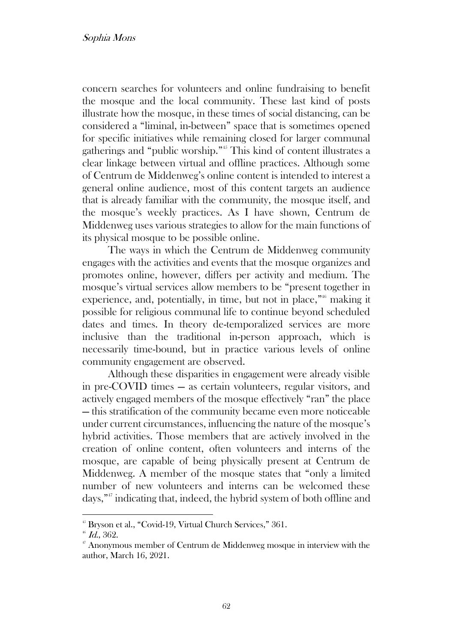concern searches for volunteers and online fundraising to benefit the mosque and the local community. These last kind of posts illustrate how the mosque, in these times of social distancing, can be considered a "liminal, in-between" space that is sometimes opened for specific initiatives while remaining closed for larger communal gatherings and "public worship." <sup>45</sup> This kind of content illustrates a clear linkage between virtual and offline practices. Although some of Centrum de Middenweg's online content is intended to interest a general online audience, most of this content targets an audience that is already familiar with the community, the mosque itself, and the mosque's weekly practices. As I have shown, Centrum de Middenweg uses various strategies to allow for the main functions of its physical mosque to be possible online.

The ways in which the Centrum de Middenweg community engages with the activities and events that the mosque organizes and promotes online, however, differs per activity and medium. The mosque's virtual services allow members to be "present together in experience, and, potentially, in time, but not in place,"<sup>66</sup> making it possible for religious communal life to continue beyond scheduled dates and times. In theory de-temporalized services are more inclusive than the traditional in-person approach, which is necessarily time-bound, but in practice various levels of online community engagement are observed.

Although these disparities in engagement were already visible in pre-COVID times — as certain volunteers, regular visitors, and actively engaged members of the mosque effectively "ran" the place — this stratification of the community became even more noticeable under current circumstances, influencing the nature of the mosque's hybrid activities. Those members that are actively involved in the creation of online content, often volunteers and interns of the mosque, are capable of being physically present at Centrum de Middenweg. A member of the mosque states that "only a limited number of new volunteers and interns can be welcomed these days," <sup>47</sup> indicating that, indeed, the hybrid system of both offline and

<sup>&</sup>lt;sup>45</sup> Bryson et al., "Covid-19, Virtual Church Services," 361.

 $46$  Id., 362.

 $\mathbf{F}$  Anonymous member of Centrum de Middenweg mosque in interview with the author, March 16, 2021.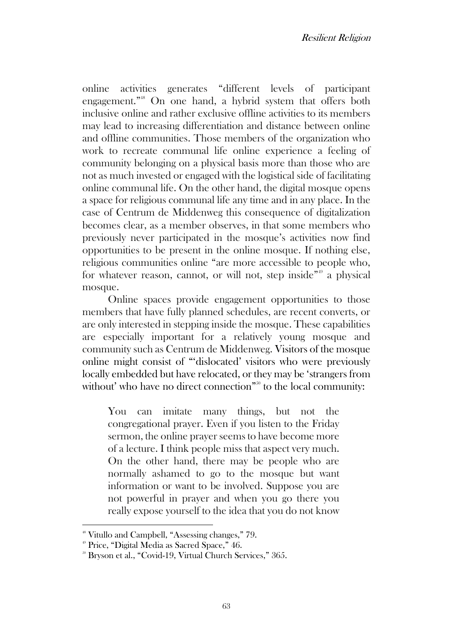online activities generates "different levels of participant engagement." <sup>48</sup> On one hand, a hybrid system that offers both inclusive online and rather exclusive offline activities to its members may lead to increasing differentiation and distance between online and offline communities. Those members of the organization who work to recreate communal life online experience a feeling of community belonging on a physical basis more than those who are not as much invested or engaged with the logistical side of facilitating online communal life. On the other hand, the digital mosque opens a space for religious communal life any time and in any place. In the case of Centrum de Middenweg this consequence of digitalization becomes clear, as a member observes, in that some members who previously never participated in the mosque's activities now find opportunities to be present in the online mosque. If nothing else, religious communities online "are more accessible to people who, for whatever reason, cannot, or will not, step inside"<sup>49</sup> a physical mosque.

Online spaces provide engagement opportunities to those members that have fully planned schedules, are recent converts, or are only interested in stepping inside the mosque. These capabilities are especially important for a relatively young mosque and community such as Centrum de Middenweg. Visitors of the mosque online might consist of "'dislocated' visitors who were previously locally embedded but have relocated, or they may be 'strangers from without' who have no direct connection"<sup>50</sup> to the local community:

You can imitate many things, but not the congregational prayer. Even if you listen to the Friday sermon, the online prayer seems to have become more of a lecture. I think people miss that aspect very much. On the other hand, there may be people who are normally ashamed to go to the mosque but want information or want to be involved. Suppose you are not powerful in prayer and when you go there you really expose yourself to the idea that you do not know

<sup>48</sup> Vitullo and Campbell, "Assessing changes," 79.

<sup>49</sup> Price, "Digital Media as Sacred Space," 46.

<sup>50</sup> Bryson et al., "Covid-19, Virtual Church Services," 365.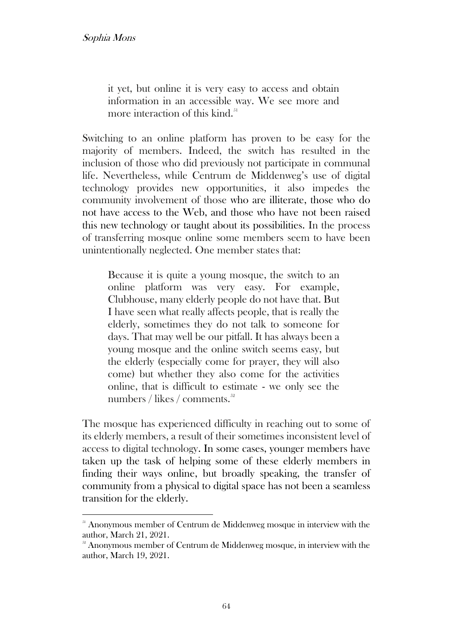it yet, but online it is very easy to access and obtain information in an accessible way. We see more and more interaction of this kind. $51$ 

Switching to an online platform has proven to be easy for the majority of members. Indeed, the switch has resulted in the inclusion of those who did previously not participate in communal life. Nevertheless, while Centrum de Middenweg's use of digital technology provides new opportunities, it also impedes the community involvement of those who are illiterate, those who do not have access to the Web, and those who have not been raised this new technology or taught about its possibilities. In the process of transferring mosque online some members seem to have been unintentionally neglected. One member states that:

Because it is quite a young mosque, the switch to an online platform was very easy. For example, Clubhouse, many elderly people do not have that. But I have seen what really affects people, that is really the elderly, sometimes they do not talk to someone for days. That may well be our pitfall. It has always been a young mosque and the online switch seems easy, but the elderly (especially come for prayer, they will also come) but whether they also come for the activities online, that is difficult to estimate - we only see the numbers / likes / comments. $52$ 

The mosque has experienced difficulty in reaching out to some of its elderly members, a result of their sometimes inconsistent level of access to digital technology. In some cases, younger members have taken up the task of helping some of these elderly members in finding their ways online, but broadly speaking, the transfer of community from a physical to digital space has not been a seamless transition for the elderly.

<sup>&</sup>lt;sup>51</sup> Anonymous member of Centrum de Middenweg mosque in interview with the author, March 21, 2021.

 $5<sup>32</sup>$  Anonymous member of Centrum de Middenweg mosque, in interview with the author, March 19, 2021.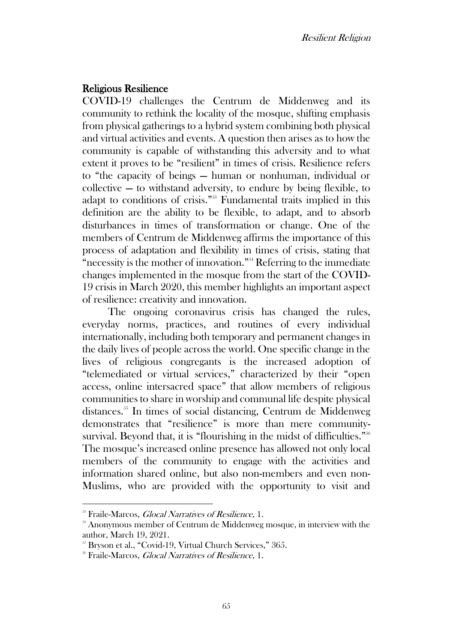## Religious Resilience

COVID-19 challenges the Centrum de Middenweg and its community to rethink the locality of the mosque, shifting emphasis from physical gatherings to a hybrid system combining both physical and virtual activities and events. A question then arises as to how the community is capable of withstanding this adversity and to what extent it proves to be "resilient" in times of crisis. Resilience refers to "the capacity of beings — human or nonhuman, individual or collective — to withstand adversity, to endure by being flexible, to adapt to conditions of crisis." <sup>53</sup> Fundamental traits implied in this definition are the ability to be flexible, to adapt, and to absorb disturbances in times of transformation or change. One of the members of Centrum de Middenweg affirms the importance of this process of adaptation and flexibility in times of crisis, stating that "necessity is the mother of innovation." <sup>54</sup> Referring to the immediate changes implemented in the mosque from the start of the COVID-19 crisis in March 2020, this member highlights an important aspect of resilience: creativity and innovation.

The ongoing coronavirus crisis has changed the rules, everyday norms, practices, and routines of every individual internationally, including both temporary and permanent changes in the daily lives of people across the world. One specific change in the lives of religious congregants is the increased adoption of "telemediated or virtual services," characterized by their "open access, online intersacred space" that allow members of religious communities to share in worship and communal life despite physical distances.<sup>55</sup> In times of social distancing, Centrum de Middenweg demonstrates that "resilience" is more than mere communitysurvival. Beyond that, it is "flourishing in the midst of difficulties."<sup>566</sup> The mosque's increased online presence has allowed not only local members of the community to engage with the activities and information shared online, but also non-members and even non-Muslims, who are provided with the opportunity to visit and

<sup>&</sup>lt;sup>53</sup> Fraile-Marcos, *Glocal Narratives of Resilience*, 1.

<sup>&</sup>lt;sup>54</sup> Anonymous member of Centrum de Middenweg mosque, in interview with the author, March 19, 2021.

<sup>&</sup>lt;sup>55</sup> Bryson et al., "Covid-19, Virtual Church Services," 365.

<sup>&</sup>lt;sup>56</sup> Fraile-Marcos, *Glocal Narratives of Resilience*, 1.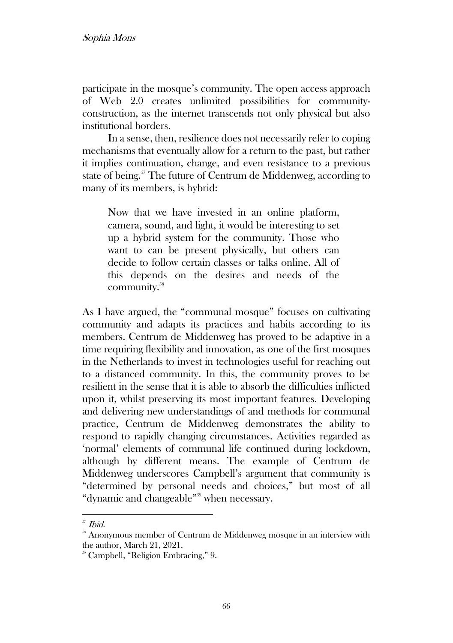participate in the mosque's community. The open access approach of Web 2.0 creates unlimited possibilities for communityconstruction, as the internet transcends not only physical but also institutional borders.

In a sense, then, resilience does not necessarily refer to coping mechanisms that eventually allow for a return to the past, but rather it implies continuation, change, and even resistance to a previous state of being.<sup>57</sup> The future of Centrum de Middenweg, according to many of its members, is hybrid:

Now that we have invested in an online platform, camera, sound, and light, it would be interesting to set up a hybrid system for the community. Those who want to can be present physically, but others can decide to follow certain classes or talks online. All of this depends on the desires and needs of the community.<sup>58</sup>

As I have argued, the "communal mosque" focuses on cultivating community and adapts its practices and habits according to its members. Centrum de Middenweg has proved to be adaptive in a time requiring flexibility and innovation, as one of the first mosques in the Netherlands to invest in technologies useful for reaching out to a distanced community. In this, the community proves to be resilient in the sense that it is able to absorb the difficulties inflicted upon it, whilst preserving its most important features. Developing and delivering new understandings of and methods for communal practice, Centrum de Middenweg demonstrates the ability to respond to rapidly changing circumstances. Activities regarded as 'normal' elements of communal life continued during lockdown, although by different means. The example of Centrum de Middenweg underscores Campbell's argument that community is "determined by personal needs and choices," but most of all "dynamic and changeable" <sup>59</sup> when necessary.

<sup>57</sup> Ibid.

<sup>&</sup>lt;sup>38</sup> Anonymous member of Centrum de Middenweg mosque in an interview with the author, March 21, 2021.

<sup>59</sup> Campbell, "Religion Embracing," 9.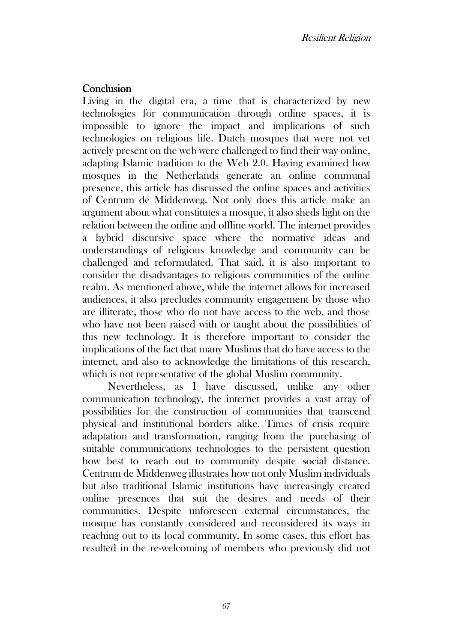# **Conclusion**

Living in the digital era, a time that is characterized by new technologies for communication through online spaces, it is impossible to ignore the impact and implications of such technologies on religious life. Dutch mosques that were not yet actively present on the web were challenged to find their way online, adapting Islamic tradition to the Web 2.0. Having examined how mosques in the Netherlands generate an online communal presence, this article has discussed the online spaces and activities of Centrum de Middenweg. Not only does this article make an argument about what constitutes a mosque, it also sheds light on the relation between the online and offline world. The internet provides a hybrid discursive space where the normative ideas and understandings of religious knowledge and community can be challenged and reformulated. That said, it is also important to consider the disadvantages to religious communities of the online realm. As mentioned above, while the internet allows for increased audiences, it also precludes community engagement by those who are illiterate, those who do not have access to the web, and those who have not been raised with or taught about the possibilities of this new technology. It is therefore important to consider the implications of the fact that many Muslims that do have access to the internet, and also to acknowledge the limitations of this research, which is not representative of the global Muslim community.

Nevertheless, as I have discussed, unlike any other communication technology, the internet provides a vast array of possibilities for the construction of communities that transcend physical and institutional borders alike. Times of crisis require adaptation and transformation, ranging from the purchasing of suitable communications technologies to the persistent question how best to reach out to community despite social distance. Centrum de Middenweg illustrates how not only Muslim individuals but also traditional Islamic institutions have increasingly created online presences that suit the desires and needs of their communities. Despite unforeseen external circumstances, the mosque has constantly considered and reconsidered its ways in reaching out to its local community. In some cases, this effort has resulted in the re-welcoming of members who previously did not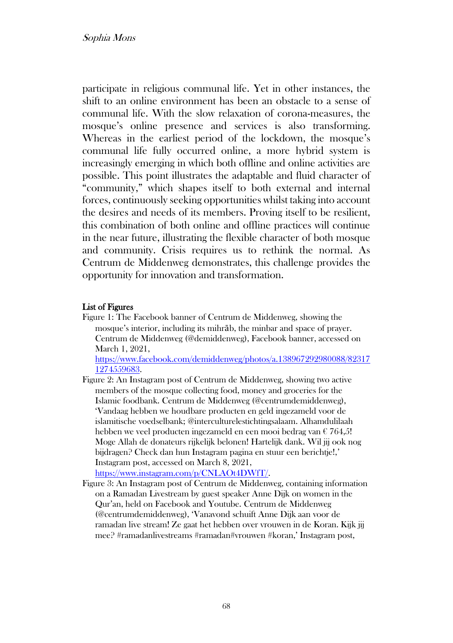participate in religious communal life. Yet in other instances, the shift to an online environment has been an obstacle to a sense of communal life. With the slow relaxation of corona-measures, the mosque's online presence and services is also transforming. Whereas in the earliest period of the lockdown, the mosque's communal life fully occurred online, a more hybrid system is increasingly emerging in which both offline and online activities are possible. This point illustrates the adaptable and fluid character of "community," which shapes itself to both external and internal forces, continuously seeking opportunities whilst taking into account the desires and needs of its members. Proving itself to be resilient, this combination of both online and offline practices will continue in the near future, illustrating the flexible character of both mosque and community. Crisis requires us to rethink the normal. As Centrum de Middenweg demonstrates, this challenge provides the opportunity for innovation and transformation.

#### List of Figures

Figure 1: The Facebook banner of Centrum de Middenweg, showing the mosque's interior, including its mihrāb, the minbar and space of prayer. Centrum de Middenweg (@demiddenweg), Facebook banner, accessed on March 1, 2021,

[https://www.facebook.com/demiddenweg/photos/a.138967292980088/82317](https://www.facebook.com/demiddenweg/photos/a.138967292980088/823171274559683) [1274559683.](https://www.facebook.com/demiddenweg/photos/a.138967292980088/823171274559683)

- Figure 2: An Instagram post of Centrum de Middenweg, showing two active members of the mosque collecting food, money and groceries for the Islamic foodbank. Centrum de Middenweg (@centrumdemiddenweg), 'Vandaag hebben we houdbare producten en geld ingezameld voor de islamitische voedselbank; [@interculturelestichtingsalaam.](https://www.instagram.com/interculturelestichtingsalaam/) Alhamdulilaah hebben we veel producten ingezameld en een mooi bedrag van € 764,5! Moge Allah de donateurs rijkelijk belonen! Hartelijk dank. Wil jij ook nog bijdragen? Check dan hun Instagram pagina en stuur een berichtje!,' Instagram post, accessed on March 8, 2021, [https://www.instagram.com/p/CNLAOt4DWfT/.](https://www.instagram.com/p/CNLAOt4DWfT/)
- Figure 3: An Instagram post of Centrum de Middenweg, containing information on a Ramadan Livestream by guest speaker Anne Dijk on women in the Qur'an, held on Facebook and Youtube. Centrum de Middenweg (@centrumdemiddenweg), 'Vanavond schuift Anne Dijk aan voor de ramadan live stream! Ze gaat het hebben over vrouwen in de Koran. Kijk jij mee? [#ramadanlivestreams](https://www.instagram.com/explore/tags/ramadanlivestreams/) [#ramadan](https://www.instagram.com/explore/tags/ramadan/)[#vrouwen](https://www.instagram.com/explore/tags/vrouwen/) [#koran,](https://www.instagram.com/explore/tags/koran/)' Instagram post,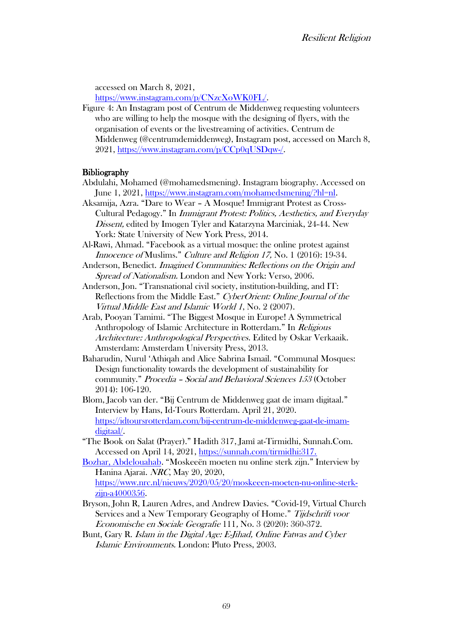accessed on March 8, 2021,

https://www.instagram.com/p/CNzcXoWK0FL/.

Figure 4: An Instagram post of Centrum de Middenweg requesting volunteers who are willing to help the mosque with the designing of flyers, with the organisation of events or the livestreaming of activities. Centrum de Middenweg (@centrumdemiddenweg), Instagram post, accessed on March 8, 2021, https://www.instagram.com/p/CCp0qUSDqw-/.

#### **Bibliography**

- Abdulahi, Mohamed (@mohamedsmening). Instagram biography. Accessed on June 1, 2021, https://www.instagram.com/mohamedsmening/?hl=nl.
- Aksamija, Azra. "Dare to Wear A Mosque! Immigrant Protest as Cross-Cultural Pedagogy." In Immigrant Protest: Politics, Aesthetics, and Everyday Dissent, edited by Imogen Tyler and Katarzyna Marciniak, 24-44. New York: State University of New York Press, 2014.
- Al-Rawi, Ahmad. "Facebook as a virtual mosque: the online protest against Innocence of Muslims." Culture and Religion 17, No. 1 (2016): 19-34.
- Anderson, Benedict. Imagined Communities: Reflections on the Origin and Spread of Nationalism. London and New York: Verso, 2006.
- Anderson, Jon. "Transnational civil society, institution-building, and IT: Reflections from the Middle East." CyberOrient: Online Journal of the Virtual Middle East and Islamic World 1, No. 2 (2007).
- Arab, Pooyan Tamimi. "The Biggest Mosque in Europe! A Symmetrical Anthropology of Islamic Architecture in Rotterdam." In Religious Architecture: Anthropological Perspectives. Edited by Oskar Verkaaik. Amsterdam: Amsterdam University Press, 2013.
- Baharudin, Nurul 'Athiqah and Alice Sabrina Ismail. "Communal Mosques: Design functionality towards the development of sustainability for community." Procedia – Social and Behavioral Sciences 153 (October 2014): 106-120.
- Blom, Jacob van der. "Bij Centrum de Middenweg gaat de imam digitaal." Interview by Hans, Id-Tours Rotterdam. April 21, 2020. https://idtoursrotterdam.com/bij-centrum-de-middenweg-gaat-de-imamdigitaal/.
- "The Book on Salat (Prayer)." Hadith 317, Jamî at-Tirmidhi, Sunnah.Com. Accessed on April 14, 2021, https://sunnah.com/tirmidhi:317.
- Bozhar, Abdelouahab. "Moskeeën moeten nu online sterk zijn." Interview by Hanina Ajarai. NRC, May 20, 2020, https://www.nrc.nl/nieuws/2020/05/20/moskeeen-moeten-nu-online-sterk
	- zijn-a4000356.
- Bryson, John R, Lauren Adres, and Andrew Davies. "Covid-19, Virtual Church Services and a New Temporary Geography of Home." Tijdschrift voor Economische en Sociale Geografie 111, No. 3 (2020): 360-372.
- Bunt, Gary R. Islam in the Digital Age: E-Jihad, Online Fatwas and Cyber Islamic Environments. London: Pluto Press, 2003.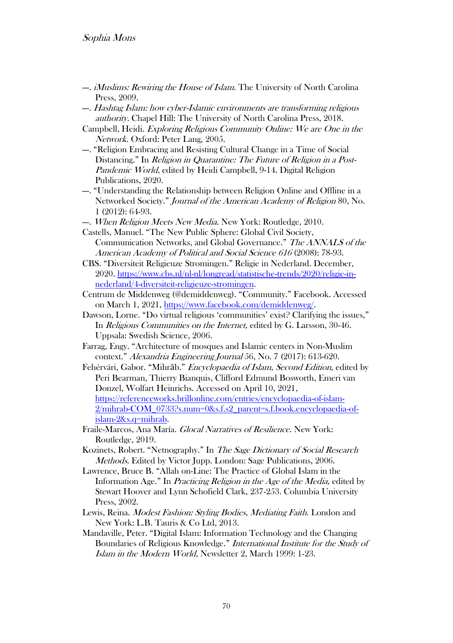- ---. *iMuslims: Rewiring the House of Islam.* The University of North Carolina Press, 2009.
- ---. Hashtag Islam: how cyber-Islamic environments are transforming religious authority. Chapel Hill: The University of North Carolina Press, 2018.
- Campbell, Heidi. Exploring Religious Community Online: We are One in the Network. Oxford: Peter Lang, 2005.
- ---. "Religion Embracing and Resisting Cultural Change in a Time of Social Distancing." In *Religion in Quarantine: The Future of Religion in a Post-*Pandemic World, edited by Heidi Campbell, 9-14. Digital Religion Publications, 2020.
- ---. "Understanding the Relationship between Religion Online and Offline in a Networked Society." Journal of the American Academy of Religion 80, No. 1 (2012): 64-93.
- --. When Religion Meets New Media. New York: Routledge, 2010.
- Castells, Manuel. "The New Public Sphere: Global Civil Society, Communication Networks, and Global Governance." The ANNALS of the American Academy of Political and Social Science 616 (2008): 78-93.
- CBS. "Diversiteit Religieuze Stromingen." Religie in Nederland. December, 2020. https://www.cbs.nl/nl-nl/longread/statistische-trends/2020/religie-innederland/4-diversiteit-religieuze-stromingen.
- Centrum de Middenweg (@demiddenweg). "Community." Facebook. Accessed on March 1, 2021, https://www.facebook.com/demiddenweg/.
- Dawson, Lorne. "Do virtual religious 'communities' exist? Clarifying the issues," In *Religious Communities on the Internet*, edited by G. Larsson, 30-46. Uppsala: Swedish Science, 2006.
- Farrag, Engy. "Architecture of mosques and Islamic centers in Non-Muslim context." Alexandria Engineering Journal 56, No. 7 (2017): 613-620.
- Fehérvári, Gabor. "Mihrāb." Encyclopaedia of Islam, Second Edition, edited by Peri Bearman, Thierry Bianquis, Clifford Edmund Bosworth, Emeri van Donzel, Wolfart Heinrichs. Accessed on April 10, 2021, https://referenceworks.brillonline.com/entries/encyclopaedia-of-islam-2/mihrab-COM\_0733?s.num=0&s.f.s2\_parent=s.f.book.encyclopaedia-ofislam-2&s.q=mihrab.
- Fraile-Marcos, Ana María. Glocal Narratives of Resilience. New York: Routledge, 2019.
- Kozinets, Robert. "Netnography." In The Sage Dictionary of Social Research Methods. Edited by Victor Jupp. London: Sage Publications, 2006.
- Lawrence, Bruce B. "Allah on-Line: The Practice of Global Islam in the Information Age." In Practicing Religion in the Age of the Media, edited by Stewart Hoover and Lynn Schofield Clark, 237-253. Columbia University Press, 2002.
- Lewis, Reina. Modest Fashion: Styling Bodies, Mediating Faith. London and New York: L.B. Tauris & Co Ltd, 2013.
- Mandaville, Peter. "Digital Islam: Information Technology and the Changing Boundaries of Religious Knowledge." International Institute for the Study of Islam in the Modern World, Newsletter 2, March 1999: 1-23.